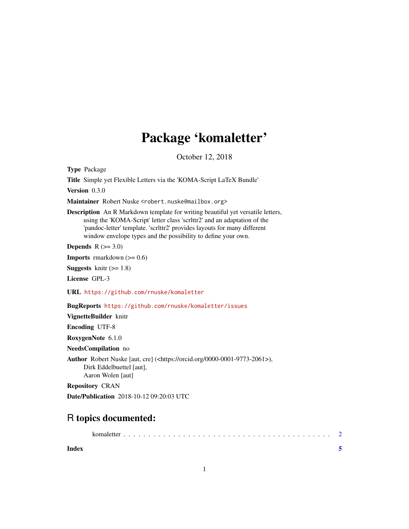## Package 'komaletter'

October 12, 2018

<span id="page-0-0"></span>Type Package

Title Simple yet Flexible Letters via the 'KOMA-Script LaTeX Bundle'

Version 0.3.0

Maintainer Robert Nuske <robert.nuske@mailbox.org>

Description An R Markdown template for writing beautiful yet versatile letters, using the 'KOMA-Script' letter class 'scrlttr2' and an adaptation of the 'pandoc-letter' template. 'scrlttr2' provides layouts for many different window envelope types and the possibility to define your own.

Depends  $R$  ( $>= 3.0$ )

**Imports** rmarkdown  $(>= 0.6)$ 

**Suggests** knitr  $(>= 1.8)$ 

License GPL-3

URL <https://github.com/rnuske/komaletter>

BugReports <https://github.com/rnuske/komaletter/issues>

VignetteBuilder knitr

Encoding UTF-8

RoxygenNote 6.1.0

NeedsCompilation no

Author Robert Nuske [aut, cre] (<https://orcid.org/0000-0001-9773-2061>), Dirk Eddelbuettel [aut], Aaron Wolen [aut]

Repository CRAN

Date/Publication 2018-10-12 09:20:03 UTC

### R topics documented:

| Index |  |  |  |  |  |  |  |  |  |  |  |  |  |  |  |  |  |  |
|-------|--|--|--|--|--|--|--|--|--|--|--|--|--|--|--|--|--|--|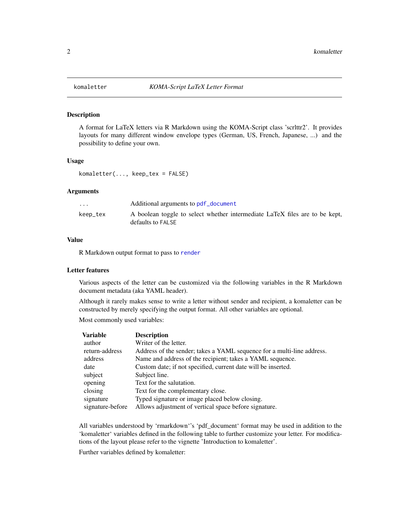#### Description

A format for LaTeX letters via R Markdown using the KOMA-Script class 'scrlttr2'. It provides layouts for many different window envelope types (German, US, French, Japanese, ...) and the possibility to define your own.

#### Usage

komaletter(..., keep\_tex = FALSE)

#### Arguments

| .        | Additional arguments to pdf_document                                                             |
|----------|--------------------------------------------------------------------------------------------------|
| keep_tex | A boolean toggle to select whether intermediate LaTeX files are to be kept,<br>defaults to FALSE |

#### Value

R Markdown output format to pass to [render](#page-0-0)

#### Letter features

Various aspects of the letter can be customized via the following variables in the R Markdown document metadata (aka YAML header).

Although it rarely makes sense to write a letter without sender and recipient, a komaletter can be constructed by merely specifying the output format. All other variables are optional.

Most commonly used variables:

| <b>Description</b>                                                     |
|------------------------------------------------------------------------|
| Writer of the letter.                                                  |
| Address of the sender; takes a YAML sequence for a multi-line address. |
| Name and address of the recipient; takes a YAML sequence.              |
| Custom date; if not specified, current date will be inserted.          |
| Subject line.                                                          |
| Text for the salutation.                                               |
| Text for the complementary close.                                      |
| Typed signature or image placed below closing.                         |
| Allows adjustment of vertical space before signature.                  |
|                                                                        |

All variables understood by 'rmarkdown''s 'pdf\_document' format may be used in addition to the 'komaletter' variables defined in the following table to further customize your letter. For modifications of the layout please refer to the vignette 'Introduction to komaletter'.

Further variables defined by komaletter: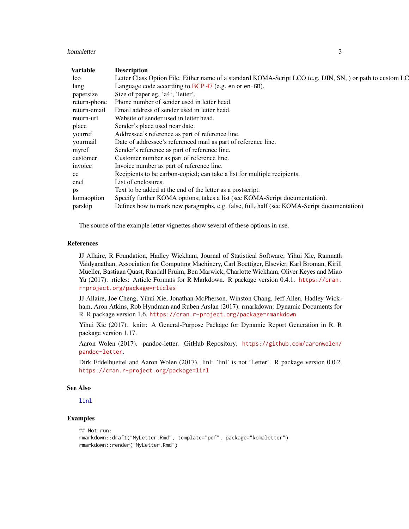#### <span id="page-2-0"></span>komaletter 3

| Variable     | <b>Description</b>                                                                                        |
|--------------|-----------------------------------------------------------------------------------------------------------|
| lco          | Letter Class Option File. Either name of a standard KOMA-Script LCO (e.g. DIN, SN, ) or path to custom LC |
| lang         | Language code according to BCP 47 (e.g. en or en-GB).                                                     |
| papersize    | Size of paper eg. 'a4', 'letter'.                                                                         |
| return-phone | Phone number of sender used in letter head.                                                               |
| return-email | Email address of sender used in letter head.                                                              |
| return-url   | Website of sender used in letter head.                                                                    |
| place        | Sender's place used near date.                                                                            |
| yourref      | Addressee's reference as part of reference line.                                                          |
| yourmail     | Date of addressee's referenced mail as part of reference line.                                            |
| myref        | Sender's reference as part of reference line.                                                             |
| customer     | Customer number as part of reference line.                                                                |
| invoice      | Invoice number as part of reference line.                                                                 |
| cc           | Recipients to be carbon-copied; can take a list for multiple recipients.                                  |
| encl         | List of enclosures.                                                                                       |
| ps           | Text to be added at the end of the letter as a postscript.                                                |
| komaoption   | Specify further KOMA options; takes a list (see KOMA-Script documentation).                               |
| parskip      | Defines how to mark new paragraphs, e.g. false, full, half (see KOMA-Script documentation)                |

The source of the example letter vignettes show several of these options in use.

#### References

JJ Allaire, R Foundation, Hadley Wickham, Journal of Statistical Software, Yihui Xie, Ramnath Vaidyanathan, Association for Computing Machinery, Carl Boettiger, Elsevier, Karl Broman, Kirill Mueller, Bastiaan Quast, Randall Pruim, Ben Marwick, Charlotte Wickham, Oliver Keyes and Miao Yu (2017). rticles: Article Formats for R Markdown. R package version 0.4.1. [https://cran.](https://cran.r-project.org/package=rticles) [r-project.org/package=rticles](https://cran.r-project.org/package=rticles)

JJ Allaire, Joe Cheng, Yihui Xie, Jonathan McPherson, Winston Chang, Jeff Allen, Hadley Wickham, Aron Atkins, Rob Hyndman and Ruben Arslan (2017). rmarkdown: Dynamic Documents for R. R package version 1.6. <https://cran.r-project.org/package=rmarkdown>

Yihui Xie (2017). knitr: A General-Purpose Package for Dynamic Report Generation in R. R package version 1.17.

Aaron Wolen (2017). pandoc-letter. GitHub Repository. [https://github.com/aaronwolen/](https://github.com/aaronwolen/pandoc-letter) [pandoc-letter](https://github.com/aaronwolen/pandoc-letter).

Dirk Eddelbuettel and Aaron Wolen (2017). linl: 'linl' is not 'Letter'. R package version 0.0.2. <https://cran.r-project.org/package=linl>

#### See Also

[linl](#page-0-0)

#### Examples

```
## Not run:
rmarkdown::draft("MyLetter.Rmd", template="pdf", package="komaletter")
rmarkdown::render("MyLetter.Rmd")
```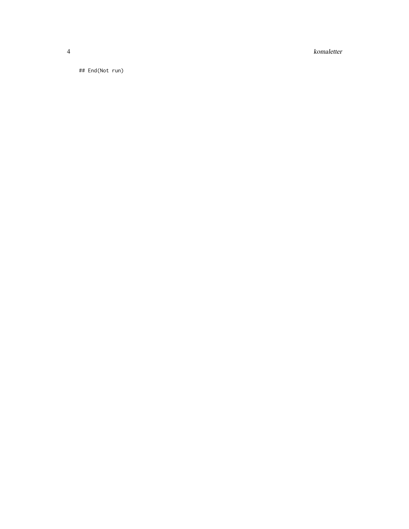komaletter

## End(Not run)